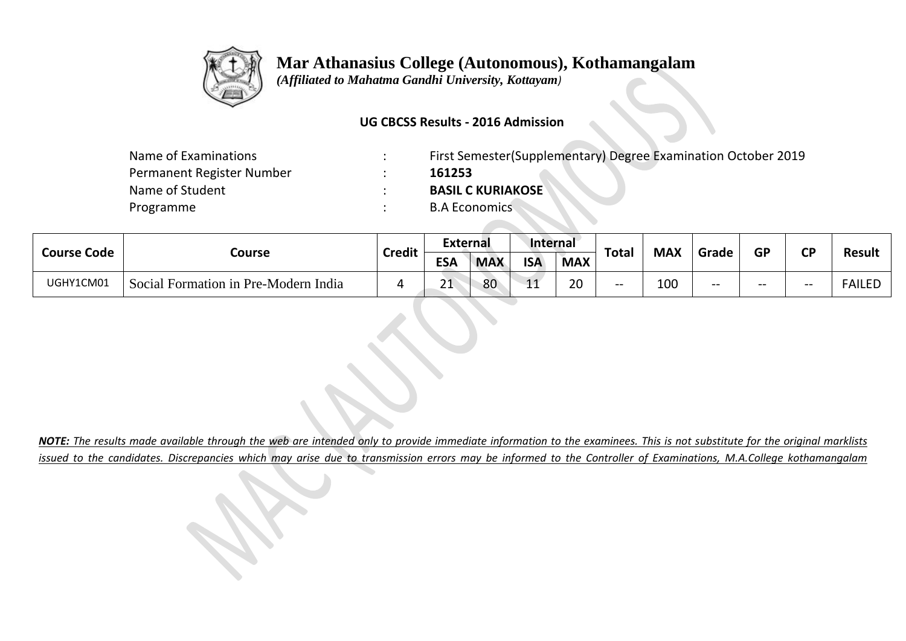

 **Mar Athanasius College (Autonomous), Kothamangalam**

 *(Affiliated to Mahatma Gandhi University, Kottayam)*

## **UG CBCSS Results - 2016 Admission**

| Name of Examinations      | $\bullet$ | First Semester (Supplementary) Degree Examination October 2019 |
|---------------------------|-----------|----------------------------------------------------------------|
| Permanent Register Number |           | 161253                                                         |
| Name of Student           |           | <b>BASIL C KURIAKOSE</b>                                       |
| Programme                 |           | <b>B.A Economics</b>                                           |
|                           |           |                                                                |

| <b>Course Code</b> | Course                               | <b>Credit</b> | <b>External</b> |            | Internal   |            |              |            |       |           | <b>CD</b> |               |
|--------------------|--------------------------------------|---------------|-----------------|------------|------------|------------|--------------|------------|-------|-----------|-----------|---------------|
|                    |                                      |               | <b>ESA</b>      | <b>MAX</b> | <b>ISA</b> | <b>MAX</b> | <b>Total</b> | <b>MAX</b> | Grade | <b>GP</b> |           | Result        |
| UGHY1CM01          | Social Formation in Pre-Modern India |               | 21              | 80         | 11<br>-- - | 20         | --           | 100        | $- -$ | $- -$     | $- -$     | <b>FAILED</b> |

*NOTE: The results made available through the web are intended only to provide immediate information to the examinees. This is not substitute for the original marklists issued to the candidates. Discrepancies which may arise due to transmission errors may be informed to the Controller of Examinations, M.A.College kothamangalam*